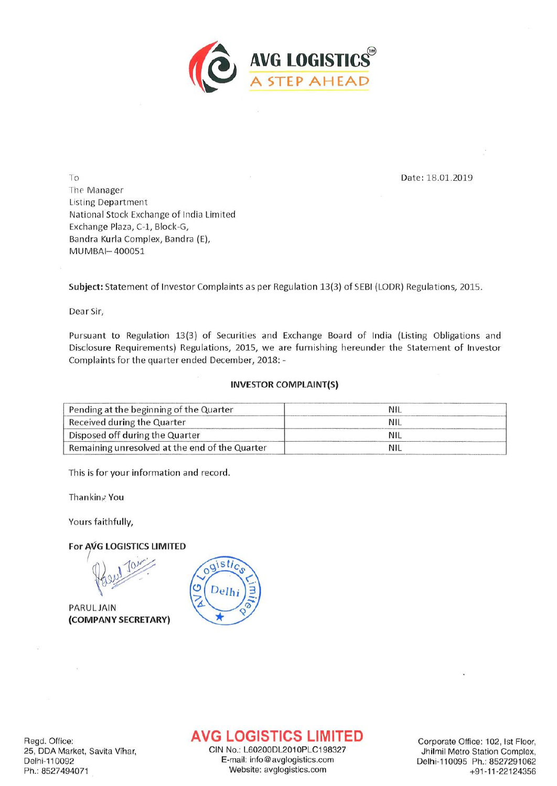

To **Date: 18.01.2019** The Manager Listing Department National Stock Exchange of India Limited Exchange Plaza, C-1, Block-G, Bandra Kurla Complex, Bandra (E), MUMBAI-400051

Subject: Statement of Investor Complaints as per Regulation 13(3) of SEBI (LODR) Regulations, 2015.

Dear Sir,

Pursuant to Regulation 13(3) of Securities and Exchange Board of India (Listing Obligations and Disclosure Requirements) Regulations, 2015, we are furnishing hereunder the Statement of Investor Complaints for the quarter ended December, 2018: -

## INVESTOR COMPLAINT(S)

| Pending at the beginning of the Quarter        | NIL        |  |
|------------------------------------------------|------------|--|
| Received during the Quarter                    | <b>NIL</b> |  |
| Disposed off during the Quarter                | NIL        |  |
| Remaining unresolved at the end of the Quarter | NIL        |  |

This is for your information and record.

 $\mathbf{r}$ 

Thankinz You

Yours faithfully,

For AVG LOGISTICS LIMITED

1 Jan

PARULJAIN (COMPANYSECRETARY)



## **AVG LOGISTICS LIMITED**

CIN No.: L60200DL2010PLC198327 E-mail: info@avglogistics.com Ph.: 8527494071 Website: avglogistics.com

Corporate Office: 102, 1st Floor, Jhilmil Metro Station Complex, Delhi-110095 Ph.: 8527291062